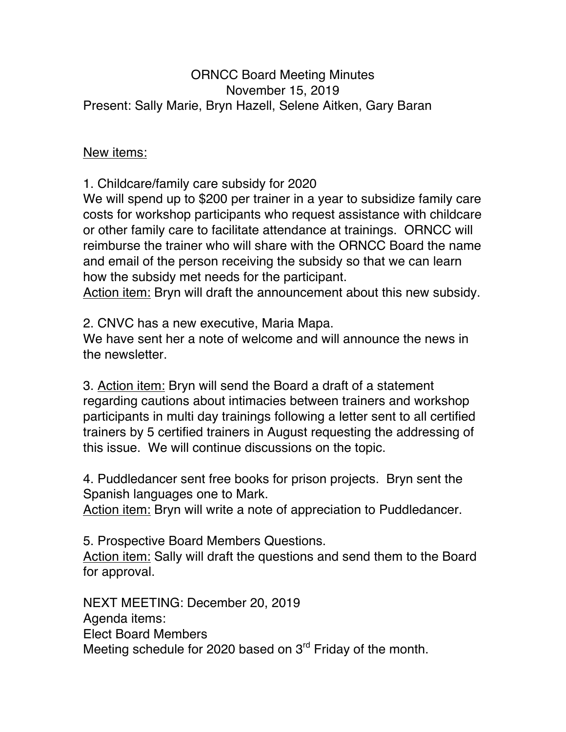## ORNCC Board Meeting Minutes November 15, 2019 Present: Sally Marie, Bryn Hazell, Selene Aitken, Gary Baran

## New items:

1. Childcare/family care subsidy for 2020

We will spend up to \$200 per trainer in a year to subsidize family care costs for workshop participants who request assistance with childcare or other family care to facilitate attendance at trainings. ORNCC will reimburse the trainer who will share with the ORNCC Board the name and email of the person receiving the subsidy so that we can learn how the subsidy met needs for the participant.

Action item: Bryn will draft the announcement about this new subsidy.

2. CNVC has a new executive, Maria Mapa.

We have sent her a note of welcome and will announce the news in the newsletter.

3. Action item: Bryn will send the Board a draft of a statement regarding cautions about intimacies between trainers and workshop participants in multi day trainings following a letter sent to all certified trainers by 5 certified trainers in August requesting the addressing of this issue. We will continue discussions on the topic.

4. Puddledancer sent free books for prison projects. Bryn sent the Spanish languages one to Mark.

Action item: Bryn will write a note of appreciation to Puddledancer.

5. Prospective Board Members Questions. Action item: Sally will draft the questions and send them to the Board for approval.

NEXT MEETING: December 20, 2019 Agenda items: Elect Board Members Meeting schedule for 2020 based on 3<sup>rd</sup> Friday of the month.